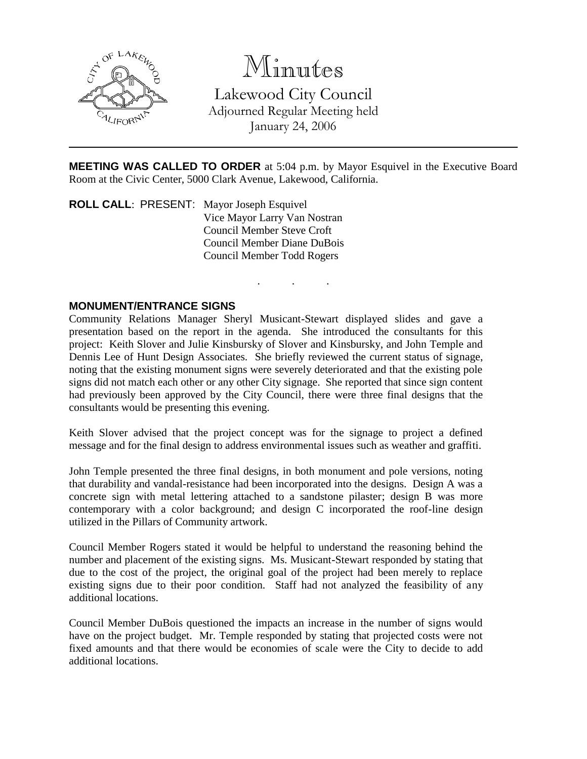

# Minutes

Lakewood City Council Adjourned Regular Meeting held January 24, 2006

**MEETING WAS CALLED TO ORDER** at 5:04 p.m. by Mayor Esquivel in the Executive Board Room at the Civic Center, 5000 Clark Avenue, Lakewood, California.

. . .

**ROLL CALL**: PRESENT: Mayor Joseph Esquivel Vice Mayor Larry Van Nostran Council Member Steve Croft Council Member Diane DuBois Council Member Todd Rogers

## **MONUMENT/ENTRANCE SIGNS**

Community Relations Manager Sheryl Musicant-Stewart displayed slides and gave a presentation based on the report in the agenda. She introduced the consultants for this project: Keith Slover and Julie Kinsbursky of Slover and Kinsbursky, and John Temple and Dennis Lee of Hunt Design Associates. She briefly reviewed the current status of signage, noting that the existing monument signs were severely deteriorated and that the existing pole signs did not match each other or any other City signage. She reported that since sign content had previously been approved by the City Council, there were three final designs that the consultants would be presenting this evening.

Keith Slover advised that the project concept was for the signage to project a defined message and for the final design to address environmental issues such as weather and graffiti.

John Temple presented the three final designs, in both monument and pole versions, noting that durability and vandal-resistance had been incorporated into the designs. Design A was a concrete sign with metal lettering attached to a sandstone pilaster; design B was more contemporary with a color background; and design C incorporated the roof-line design utilized in the Pillars of Community artwork.

Council Member Rogers stated it would be helpful to understand the reasoning behind the number and placement of the existing signs. Ms. Musicant-Stewart responded by stating that due to the cost of the project, the original goal of the project had been merely to replace existing signs due to their poor condition. Staff had not analyzed the feasibility of any additional locations.

Council Member DuBois questioned the impacts an increase in the number of signs would have on the project budget. Mr. Temple responded by stating that projected costs were not fixed amounts and that there would be economies of scale were the City to decide to add additional locations.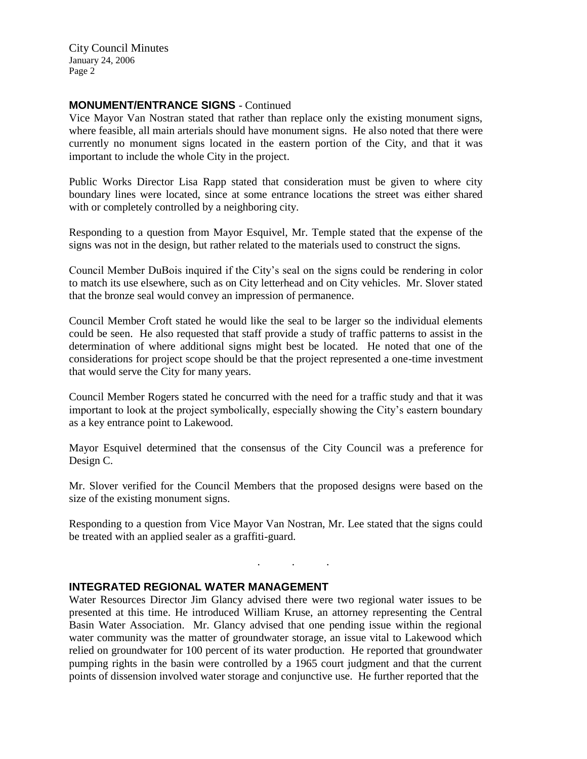## **MONUMENT/ENTRANCE SIGNS** - Continued

Vice Mayor Van Nostran stated that rather than replace only the existing monument signs, where feasible, all main arterials should have monument signs. He also noted that there were currently no monument signs located in the eastern portion of the City, and that it was important to include the whole City in the project.

Public Works Director Lisa Rapp stated that consideration must be given to where city boundary lines were located, since at some entrance locations the street was either shared with or completely controlled by a neighboring city.

Responding to a question from Mayor Esquivel, Mr. Temple stated that the expense of the signs was not in the design, but rather related to the materials used to construct the signs.

Council Member DuBois inquired if the City's seal on the signs could be rendering in color to match its use elsewhere, such as on City letterhead and on City vehicles. Mr. Slover stated that the bronze seal would convey an impression of permanence.

Council Member Croft stated he would like the seal to be larger so the individual elements could be seen. He also requested that staff provide a study of traffic patterns to assist in the determination of where additional signs might best be located. He noted that one of the considerations for project scope should be that the project represented a one-time investment that would serve the City for many years.

Council Member Rogers stated he concurred with the need for a traffic study and that it was important to look at the project symbolically, especially showing the City's eastern boundary as a key entrance point to Lakewood.

Mayor Esquivel determined that the consensus of the City Council was a preference for Design C.

Mr. Slover verified for the Council Members that the proposed designs were based on the size of the existing monument signs.

Responding to a question from Vice Mayor Van Nostran, Mr. Lee stated that the signs could be treated with an applied sealer as a graffiti-guard.

. . .

## **INTEGRATED REGIONAL WATER MANAGEMENT**

Water Resources Director Jim Glancy advised there were two regional water issues to be presented at this time. He introduced William Kruse, an attorney representing the Central Basin Water Association. Mr. Glancy advised that one pending issue within the regional water community was the matter of groundwater storage, an issue vital to Lakewood which relied on groundwater for 100 percent of its water production. He reported that groundwater pumping rights in the basin were controlled by a 1965 court judgment and that the current points of dissension involved water storage and conjunctive use. He further reported that the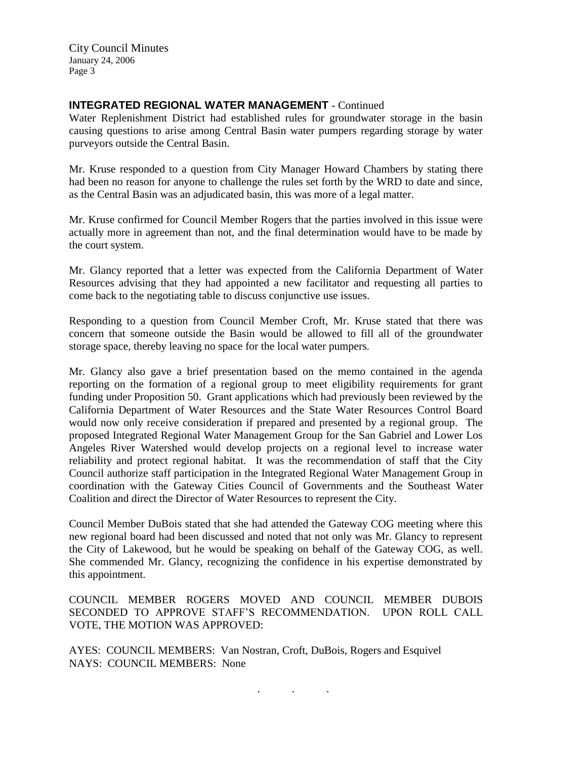## **INTEGRATED REGIONAL WATER MANAGEMENT - Continued**

Water Replenishment District had established rules for groundwater storage in the basin causing questions to arise among Central Basin water pumpers regarding storage by water purveyors outside the Central Basin.

Mr. Kruse responded to a question from City Manager Howard Chambers by stating there had been no reason for anyone to challenge the rules set forth by the WRD to date and since, as the Central Basin was an adjudicated basin, this was more of a legal matter.

Mr. Kruse confirmed for Council Member Rogers that the parties involved in this issue were actually more in agreement than not, and the final determination would have to be made by the court system.

Mr. Glancy reported that a letter was expected from the California Department of Water Resources advising that they had appointed a new facilitator and requesting all parties to come back to the negotiating table to discuss conjunctive use issues.

Responding to a question from Council Member Croft, Mr. Kruse stated that there was concern that someone outside the Basin would be allowed to fill all of the groundwater storage space, thereby leaving no space for the local water pumpers.

Mr. Glancy also gave a brief presentation based on the memo contained in the agenda reporting on the formation of a regional group to meet eligibility requirements for grant funding under Proposition 50. Grant applications which had previously been reviewed by the California Department of Water Resources and the State Water Resources Control Board would now only receive consideration if prepared and presented by a regional group. The proposed Integrated Regional Water Management Group for the San Gabriel and Lower Los Angeles River Watershed would develop projects on a regional level to increase water reliability and protect regional habitat. It was the recommendation of staff that the City Council authorize staff participation in the Integrated Regional Water Management Group in coordination with the Gateway Cities Council of Governments and the Southeast Water Coalition and direct the Director of Water Resources to represent the City.

Council Member DuBois stated that she had attended the Gateway COG meeting where this new regional board had been discussed and noted that not only was Mr. Glancy to represent the City of Lakewood, but he would be speaking on behalf of the Gateway COG, as well. She commended Mr. Glancy, recognizing the confidence in his expertise demonstrated by this appointment.

COUNCIL MEMBER ROGERS MOVED AND COUNCIL MEMBER DUBOIS SECONDED TO APPROVE STAFF'S RECOMMENDATION. UPON ROLL CALL VOTE, THE MOTION WAS APPROVED:

AYES: COUNCIL MEMBERS: Van Nostran, Croft, DuBois, Rogers and Esquivel NAYS: COUNCIL MEMBERS: None

. . .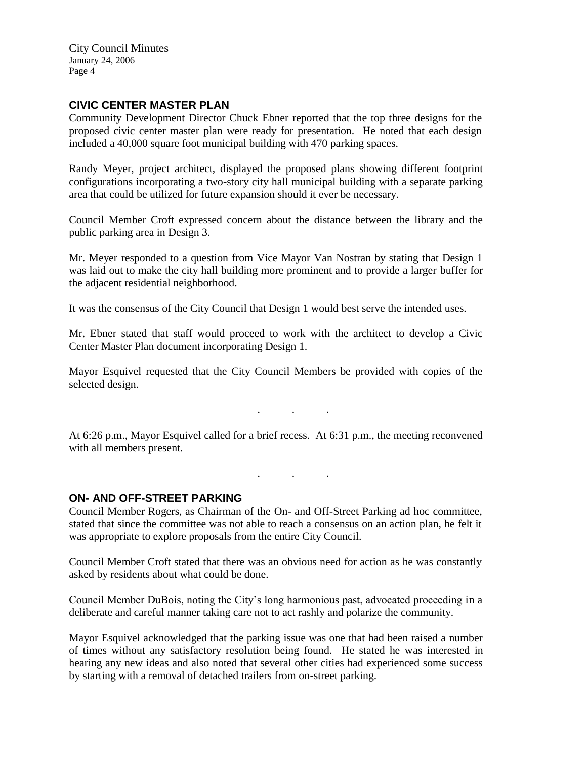## **CIVIC CENTER MASTER PLAN**

Community Development Director Chuck Ebner reported that the top three designs for the proposed civic center master plan were ready for presentation. He noted that each design included a 40,000 square foot municipal building with 470 parking spaces.

Randy Meyer, project architect, displayed the proposed plans showing different footprint configurations incorporating a two-story city hall municipal building with a separate parking area that could be utilized for future expansion should it ever be necessary.

Council Member Croft expressed concern about the distance between the library and the public parking area in Design 3.

Mr. Meyer responded to a question from Vice Mayor Van Nostran by stating that Design 1 was laid out to make the city hall building more prominent and to provide a larger buffer for the adjacent residential neighborhood.

It was the consensus of the City Council that Design 1 would best serve the intended uses.

Mr. Ebner stated that staff would proceed to work with the architect to develop a Civic Center Master Plan document incorporating Design 1.

Mayor Esquivel requested that the City Council Members be provided with copies of the selected design.

At 6:26 p.m., Mayor Esquivel called for a brief recess. At 6:31 p.m., the meeting reconvened with all members present.

. . .

. . .

## **ON- AND OFF-STREET PARKING**

Council Member Rogers, as Chairman of the On- and Off-Street Parking ad hoc committee, stated that since the committee was not able to reach a consensus on an action plan, he felt it was appropriate to explore proposals from the entire City Council.

Council Member Croft stated that there was an obvious need for action as he was constantly asked by residents about what could be done.

Council Member DuBois, noting the City's long harmonious past, advocated proceeding in a deliberate and careful manner taking care not to act rashly and polarize the community.

Mayor Esquivel acknowledged that the parking issue was one that had been raised a number of times without any satisfactory resolution being found. He stated he was interested in hearing any new ideas and also noted that several other cities had experienced some success by starting with a removal of detached trailers from on-street parking.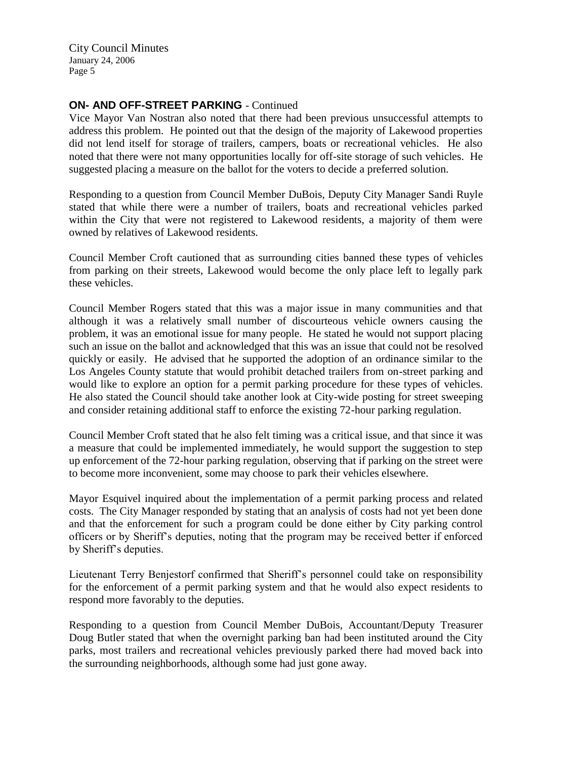## **ON- AND OFF-STREET PARKING** - Continued

Vice Mayor Van Nostran also noted that there had been previous unsuccessful attempts to address this problem. He pointed out that the design of the majority of Lakewood properties did not lend itself for storage of trailers, campers, boats or recreational vehicles. He also noted that there were not many opportunities locally for off-site storage of such vehicles. He suggested placing a measure on the ballot for the voters to decide a preferred solution.

Responding to a question from Council Member DuBois, Deputy City Manager Sandi Ruyle stated that while there were a number of trailers, boats and recreational vehicles parked within the City that were not registered to Lakewood residents, a majority of them were owned by relatives of Lakewood residents.

Council Member Croft cautioned that as surrounding cities banned these types of vehicles from parking on their streets, Lakewood would become the only place left to legally park these vehicles.

Council Member Rogers stated that this was a major issue in many communities and that although it was a relatively small number of discourteous vehicle owners causing the problem, it was an emotional issue for many people. He stated he would not support placing such an issue on the ballot and acknowledged that this was an issue that could not be resolved quickly or easily. He advised that he supported the adoption of an ordinance similar to the Los Angeles County statute that would prohibit detached trailers from on-street parking and would like to explore an option for a permit parking procedure for these types of vehicles. He also stated the Council should take another look at City-wide posting for street sweeping and consider retaining additional staff to enforce the existing 72-hour parking regulation.

Council Member Croft stated that he also felt timing was a critical issue, and that since it was a measure that could be implemented immediately, he would support the suggestion to step up enforcement of the 72-hour parking regulation, observing that if parking on the street were to become more inconvenient, some may choose to park their vehicles elsewhere.

Mayor Esquivel inquired about the implementation of a permit parking process and related costs. The City Manager responded by stating that an analysis of costs had not yet been done and that the enforcement for such a program could be done either by City parking control officers or by Sheriff's deputies, noting that the program may be received better if enforced by Sheriff's deputies.

Lieutenant Terry Benjestorf confirmed that Sheriff's personnel could take on responsibility for the enforcement of a permit parking system and that he would also expect residents to respond more favorably to the deputies.

Responding to a question from Council Member DuBois, Accountant/Deputy Treasurer Doug Butler stated that when the overnight parking ban had been instituted around the City parks, most trailers and recreational vehicles previously parked there had moved back into the surrounding neighborhoods, although some had just gone away.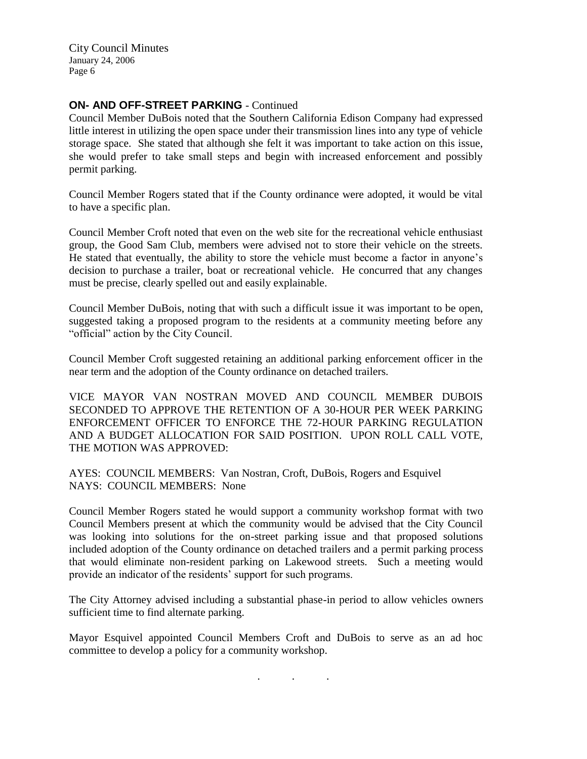#### **ON- AND OFF-STREET PARKING** - Continued

Council Member DuBois noted that the Southern California Edison Company had expressed little interest in utilizing the open space under their transmission lines into any type of vehicle storage space. She stated that although she felt it was important to take action on this issue, she would prefer to take small steps and begin with increased enforcement and possibly permit parking.

Council Member Rogers stated that if the County ordinance were adopted, it would be vital to have a specific plan.

Council Member Croft noted that even on the web site for the recreational vehicle enthusiast group, the Good Sam Club, members were advised not to store their vehicle on the streets. He stated that eventually, the ability to store the vehicle must become a factor in anyone's decision to purchase a trailer, boat or recreational vehicle. He concurred that any changes must be precise, clearly spelled out and easily explainable.

Council Member DuBois, noting that with such a difficult issue it was important to be open, suggested taking a proposed program to the residents at a community meeting before any "official" action by the City Council.

Council Member Croft suggested retaining an additional parking enforcement officer in the near term and the adoption of the County ordinance on detached trailers.

VICE MAYOR VAN NOSTRAN MOVED AND COUNCIL MEMBER DUBOIS SECONDED TO APPROVE THE RETENTION OF A 30-HOUR PER WEEK PARKING ENFORCEMENT OFFICER TO ENFORCE THE 72-HOUR PARKING REGULATION AND A BUDGET ALLOCATION FOR SAID POSITION. UPON ROLL CALL VOTE, THE MOTION WAS APPROVED:

AYES: COUNCIL MEMBERS: Van Nostran, Croft, DuBois, Rogers and Esquivel NAYS: COUNCIL MEMBERS: None

Council Member Rogers stated he would support a community workshop format with two Council Members present at which the community would be advised that the City Council was looking into solutions for the on-street parking issue and that proposed solutions included adoption of the County ordinance on detached trailers and a permit parking process that would eliminate non-resident parking on Lakewood streets. Such a meeting would provide an indicator of the residents' support for such programs.

The City Attorney advised including a substantial phase-in period to allow vehicles owners sufficient time to find alternate parking.

Mayor Esquivel appointed Council Members Croft and DuBois to serve as an ad hoc committee to develop a policy for a community workshop.

. . .